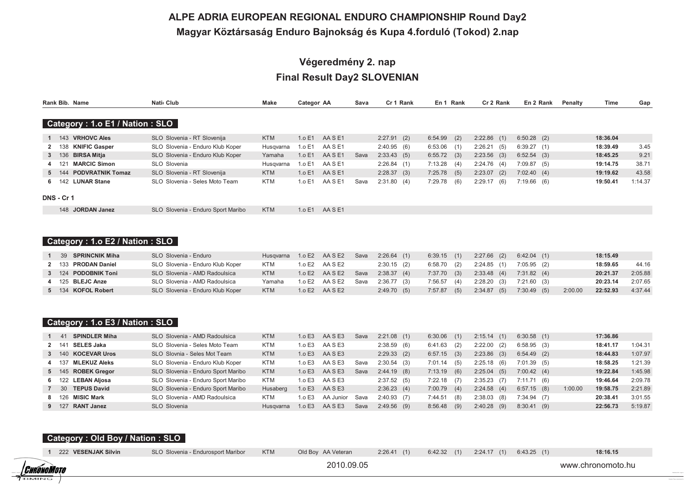# ALPE ADRIA EUROPEAN REGIONAL ENDURO CHAMPIONSHIP Round Day2 Magyar Köztársaság Enduro Bajnokság és Kupa 4.forduló (Tokod) 2.nap

# Végeredmény 2. nap **Final Result Day2 SLOVENIAN**

|     | Rank Bib. Name                 | Nati <sub>c</sub> Club           | Make       | Categor AA |         | Sava | Cr 1 Rank     |         | En 1 Rank     | Cr 2 Rank      | En 2 Rank     | Penalty | Time     | Gap     |
|-----|--------------------------------|----------------------------------|------------|------------|---------|------|---------------|---------|---------------|----------------|---------------|---------|----------|---------|
|     | Category: 1.o E1 / Nation: SLO |                                  |            |            |         |      |               |         |               |                |               |         |          |         |
|     | 1 143 VRHOVC Ales              | SLO Slovenia - RT Slovenija      | <b>KTM</b> | 1.o E1     | AASE1   |      | $2:27.91$ (2) | 6:54.99 | (2)           | $2:22.86$ (1)  | $6:50.28$ (2) |         | 18:36.04 |         |
|     | 138 KNIFIC Gasper              | SLO Slovenia - Enduro Klub Koper | Husgyarna  | 1.o E1     | AA S E1 |      | 2:40.95(6)    | 6:53.06 | (1)           | 2:26.21(5)     | 6:39.27(1)    |         | 18:39.49 | 3.45    |
|     | 3 136 BIRSA Mitja              | SLO Slovenia - Enduro Klub Koper | Yamaha     | 1.o E1     | AASE1   | Sava | 2:33.43(5)    |         | $6:55.72$ (3) | $2:23.56$ (3)  | $6:52.54$ (3) |         | 18:45.25 | 9.21    |
| 121 | <b>MARCIC Simon</b>            | SLO Slovenia                     | Husgyarna  | 1.o E1     | AASE1   |      | 2:26.84(1)    | 7:13.28 | (4)           | 2:24.76(4)     | 7:09.87(5)    |         | 19:14.75 | 38.71   |
|     | 5 144 PODVRATNIK Tomaz         | SLO Slovenia - RT Slovenija      | <b>KTM</b> | 1.o E1     | AASE1   |      | 2:28.37(3)    | 7:25.78 | (5)           | $2:23.07$ (2)  | 7:02.40(4)    |         | 19:19.62 | 43.58   |
| 6.  | 142 LUNAR Stane                | SLO Slovenia - Seles Moto Team   | <b>KTM</b> | 1.o E1     | AA S E1 | Sava | 2:31.80(4)    | 7:29.78 | (6)           | 2:29.17<br>(6) | $7:19.66$ (6) |         | 19:50.41 | 1:14.37 |

| 148 JORDAN Janez | SLO Slovenia - Enduro Sport Maribo | <b>KTM</b> | $1.0 E1$ AA S E1 |
|------------------|------------------------------------|------------|------------------|
|------------------|------------------------------------|------------|------------------|

## Category: 1.o E2 / Nation: SLO

| <b>SPRINCNIK Miha</b><br>- 39 | SLO Slovenia - Enduro            | Husgvarna  |          | 1.0 E2 AA S E2     | Sava | $2:26.64$ (1) | $6:39.15$ (1)  | $2:27.66$ (2) | $6:42.04$ (1) |         | 18:15.49 |         |
|-------------------------------|----------------------------------|------------|----------|--------------------|------|---------------|----------------|---------------|---------------|---------|----------|---------|
| 2 133 PRODAN Daniel           | SLO Slovenia - Enduro Klub Koper | KTM        |          | 1.0 E2 AA S E2     |      | $2:30.15$ (2) | $6:58.70$ (2)  | 2:24.85(1)    | $7:05.95$ (2) |         | 18:59.65 | 44.16   |
| 3 124 PODOBNIK Toni           | SLO Slovenia - AMD Radoulsica    | <b>KTM</b> |          | 1.0 $E2$ AA S $E2$ | Sava | 2:38.37(4)    | $7:37.70$ (3)  | 2:33.48(4)    | 7:31.82(4)    |         | 20:21.37 | 2:05.88 |
| 4 125 BLEJC Anze              | SLO Slovenia - AMD Radoulsica    | Yamaha     | 1.0 $E2$ | AA S E2            | Sava | $2:36.77$ (3) | $7:56.57$ (4)  | $2:28.20$ (3) | $7:21.60$ (3) |         | 20:23.14 | 2:07.65 |
| 5 134 KOFOL Robert            | SLO Slovenia - Enduro Klub Koper | <b>KTM</b> |          | $1.0 E2$ AASE2     |      | 2:49.70(5)    | 7:57.87<br>(5) | $2:34.87$ (5) | $7:30.49$ (5) | 2:00.00 | 22:52.93 | 4:37.44 |

### Category: 1.o E3 / Nation: SLO

| <b>SPINDLER Miha</b><br>1 41 | SLO Slovenia - AMD Radoulsica      | <b>KTM</b> | 1.o E3 | AA SE3         | Sava | $2:21.08$ (1) | $6:30.06$ (1)  | 2:15.14(1)     | $6:30.58$ (1) |         | 17:36.86 |         |
|------------------------------|------------------------------------|------------|--------|----------------|------|---------------|----------------|----------------|---------------|---------|----------|---------|
| <b>SELES Jaka</b><br>2 141   | SLO Slovenia - Seles Moto Team     | <b>KTM</b> | 1.0E   | AA S E3        |      | $2:38.59$ (6) | 6:41.63<br>(2) | 2:22.00<br>(2) | 6:58.95(3)    |         | 18:41.17 | 1:04.31 |
| 3 140 KOCEVAR Uros           | SLO Slovnia - Seles Mot Team       | <b>KTM</b> | 1.o E3 | AASE3          |      | 2:29.33(2)    | $6:57.15$ (3)  | $2:23.86$ (3)  | $6:54.49$ (2) |         | 18:44.83 | 1:07.97 |
| MLEKUZ Aleks<br>4 137        | SLO Slovenia - Enduro Klub Koper   | <b>KTM</b> | 1.o E3 | AA S E3        | Sava | $2:30.54$ (3) | $7:01.14$ (5)  | $2:25.18$ (6)  | $7:01.39$ (5) |         | 18:58.25 | 1:21.39 |
| 5 145 ROBEK Gregor           | SLO Slovenia - Enduro Sport Maribo | <b>KTM</b> | 1.0E   | AA SE3         | Sava | $2:44.19$ (8) | $7:13.19$ (6)  | 2:25.04<br>(5) | 7:00.42(4)    |         | 19:22.84 | 1:45.98 |
| 6 122 LEBAN Aliosa           | SLO Slovenia - Enduro Sport Maribo | KTM        | 1.o E3 | AA S E3        |      | 2:37.52(5)    | $7:22.18$ (7)  | $2:35.23$ (7)  | 7:11.71(6)    |         | 19:46.64 | 2:09.78 |
| <b>TEPUS David</b><br>7 30   | SLO Slovenia - Enduro Sport Maribo | Husaberg   | 1.0E3  | AA SE3         |      | 2:36.23(4)    | $7:00.79$ (4)  | 2:24.58(4)     | $6:57.15$ (8) | 1:00.00 | 19:58.75 | 2:21.89 |
| 8 126 MISIC Mark             | SLO Slovenia - AMD Radoulsica      | <b>KTM</b> | 1.0E   | AA Junior Sava |      | $2:40.93$ (7) | 7:44.51<br>(8) | 2:38.03<br>(8) | 7:34.94 (7)   |         | 20:38.41 | 3:01.55 |
| 9 127 RANT Janez             | SLO Slovenia                       | Husgvarna  | 1.o E3 | AASE3          | Sava | $2:49.56$ (9) | $8:56.48$ (9)  | $2:40.28$ (9)  | $8:30.41$ (9) |         | 22:56.73 | 5:19.87 |

### Category: Old Boy / Nation: SLO

|  | 1 222 VESENJAK Silvin | SLO Slovenia - Endurosport Maribor |
|--|-----------------------|------------------------------------|
|  |                       |                                    |

2010.09.05

 $2:26.41(1)$ 

Old Boy AA Veteran

**KTM** 

18:16.15 6:42.32 (1) 2:24.17 (1) 6:43.25 (1)

www.chronomoto.hu